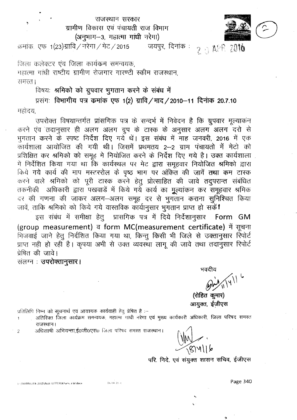## राजस्थान सरकार ग्रामीण विकास एवं पंचायती राज विभाग (अनुभाग-3, महात्मा गांधी नरेगा)



क्रमांक, एफ. 1(23)ग्रावि / नरेगा / मेट / 2015  $2.6$  APR 2016 जयपूर, दिनांक :

जिला कलेक्टर एंव जिला कार्यकम समन्वयक. महात्मा गांधी राष्टीय ग्रामीण रोजगार गारण्टी स्कीम राजस्थान । छिम्मछ

विषयः श्रमिको को ग्रुपवार भुगतान करने के संबंध में

प्रसंगः विभागीय पत्र कमांक एफ 1(2) ग्रावि / माद / 2010-11 दिनांक 20.7.10 महोदय

उपरोक्त विषयान्तर्गत प्रांसगिक पत्र के सन्दर्भ में निवेदन है कि ग्रुपवार मूल्याकंन करने एंव तदानुसार ही अलग अलग ग्रुप के टास्क के अनुसार अलग अलग दरो से भुगतान करने के स्पष्ट निर्देश दिए गये थें। इस संबंध में माह जनवरी, 2016 में एक कार्यशाला आयोजित की गयी थी। जिसमें प्रथमतय 2-2 ग्राम पंचायतो में मेटो को प्रशिक्षित कर श्रमिको को समूह मे नियोजित करने के निर्देश दिए गये है। उक्त कार्यशाला में निर्देशित किया गया था कि कार्यस्थल पर मेट द्वारा समूहवार नियोजित श्रमिको द्वारा किये गये कार्य की माप मस्टररोल के पृष्ठ भाग पर अंकित की जावें तथा कम टास्क करने वाले श्रमिको को पूरी टास्क करने हेतु प्रोत्साहित की जावे तदुपरान्त संबंधित तकनीकी अधिकारी द्वारा पखवाडें में किये गये कार्य का मुल्यांकन कर समूहवार श्रमिक दर की गणना की जाकर अलग-अलग समूह दर से भुगतान कराना सुनिश्चित किया जावें, ताकि श्रमिको को किये गये वास्तविक कार्यानुसार भुगतान प्राप्त हो सकें।

इस संबंध में समीक्षा हेतू प्रासंगिक पत्र में दिये निर्देशानुसार Form GM (group measurement) व form MC(measurement certificate) में सूचना भिजवाई जाने हेतु निर्दशित किया गया था, किन्तु किसी भी जिले से उक्तानुसार रिपोर्ट प्राप्त नही हो रही है। कृपया अभी से उक्त व्यवस्था लागू की जावे तथा तदानुसार रिपोर्ट प्रेषित की जावे।

संलग्न : उपरोक्तानुसार।

U \RAMRAJ\EA-2015\Acct LETTER\Khaniya lal.docx

भवदीय

(रोहित कूमार) आयुक्त, ईजीएस

प्रतिलिपि निम्न को सूचनार्थ एवं आवश्यक कार्यवाही हेतु प्रेषित है :-

अतिरिक्त जिला कार्यक्रम समन्वयक, महात्मा गांधी नरेगा एवं मुख्य कार्यकारी अधिकारी, जिला परिषद समस्त राजस्थान।

अधिशाषी अभियन्ता,ई0जी0एस0 जिला परिषद समस्त राजस्थान।  $\overline{\mathcal{L}}$ 

 $06.0420.c$ 

परि. निदे. एवं संयुक्त शासन सचिव, ईजीएस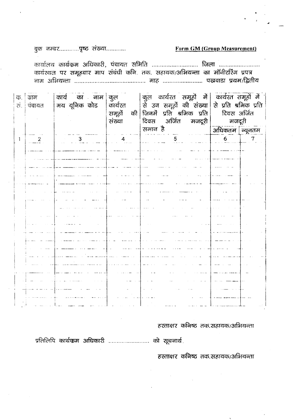## Form GM (Group Measurement)

बुक नम्बर..............पृष्ठ संख्या............

कार्यालय कार्यक्रम अधिकारी, पंचायत समिति .......................... जिला .......................... कार्यस्थल पर समूहवार माप संबंधी कनि. तक. सहायक/अभियन्ता का मॉनीटरिंग प्रपत्र 

| क.<br>रां. | ग्राम<br>  पंचायत    | कार्य का नाम कुल<br>मय यूनिक कोड    | कार्यरत<br>संख्या | कुल कार्यरत समूहों में कार्यरत समूहों में<br>से उन समूहों की संख्या से प्रति श्रमिक प्रति<br>समूहों की जिनमें प्रति श्रमिक प्रति<br>दिवस अर्जित मजदूरी  <br>समान है | दिवस अर्जित<br>मजदूरी<br> <br>  अधिकतम   न्यूनतम |
|------------|----------------------|-------------------------------------|-------------------|---------------------------------------------------------------------------------------------------------------------------------------------------------------------|--------------------------------------------------|
|            |                      |                                     |                   |                                                                                                                                                                     |                                                  |
| L          | $\frac{2}{\sqrt{2}}$ |                                     |                   | $\overline{5}$                                                                                                                                                      | 6 <sup>1</sup><br>7                              |
|            |                      |                                     |                   |                                                                                                                                                                     |                                                  |
|            |                      |                                     |                   |                                                                                                                                                                     |                                                  |
|            |                      |                                     |                   |                                                                                                                                                                     |                                                  |
|            |                      |                                     |                   |                                                                                                                                                                     |                                                  |
|            |                      |                                     |                   |                                                                                                                                                                     |                                                  |
|            |                      |                                     |                   |                                                                                                                                                                     |                                                  |
|            |                      |                                     |                   |                                                                                                                                                                     |                                                  |
|            |                      |                                     |                   |                                                                                                                                                                     |                                                  |
|            |                      |                                     |                   |                                                                                                                                                                     |                                                  |
|            |                      |                                     |                   |                                                                                                                                                                     |                                                  |
|            |                      |                                     |                   |                                                                                                                                                                     |                                                  |
|            |                      |                                     |                   |                                                                                                                                                                     |                                                  |
|            |                      |                                     |                   |                                                                                                                                                                     |                                                  |
|            |                      |                                     |                   |                                                                                                                                                                     |                                                  |
|            |                      |                                     |                   |                                                                                                                                                                     |                                                  |
|            |                      |                                     |                   |                                                                                                                                                                     |                                                  |
|            |                      |                                     |                   |                                                                                                                                                                     |                                                  |
|            |                      |                                     |                   |                                                                                                                                                                     |                                                  |
|            |                      |                                     |                   |                                                                                                                                                                     |                                                  |
|            |                      |                                     |                   |                                                                                                                                                                     |                                                  |
|            |                      |                                     |                   |                                                                                                                                                                     |                                                  |
|            |                      | $\alpha$ on $\alpha$ , and $\alpha$ | $\alpha = 0.01$   |                                                                                                                                                                     |                                                  |

हस्ताक्षर कनिष्ठ तक.सहायक/अभियन्ता

प्रतिलिपि कार्यकम अधिकारी .......................... को सूचनार्थ.

हस्ताक्षर कनिष्ठ तक,सहायक/अभियन्ता